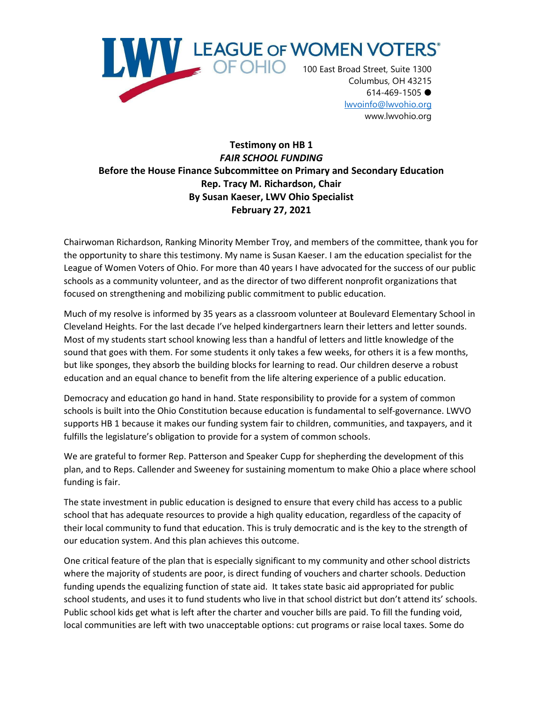

[lwvoinfo@lwvohio.org](mailto:lwvoinfo@lwvohio.org) www.lwvohio.org

## **Testimony on HB 1** *FAIR SCHOOL FUNDING* **Before the House Finance Subcommittee on Primary and Secondary Education Rep. Tracy M. Richardson, Chair By Susan Kaeser, LWV Ohio Specialist February 27, 2021**

Chairwoman Richardson, Ranking Minority Member Troy, and members of the committee, thank you for the opportunity to share this testimony. My name is Susan Kaeser. I am the education specialist for the League of Women Voters of Ohio. For more than 40 years I have advocated for the success of our public schools as a community volunteer, and as the director of two different nonprofit organizations that focused on strengthening and mobilizing public commitment to public education.

Much of my resolve is informed by 35 years as a classroom volunteer at Boulevard Elementary School in Cleveland Heights. For the last decade I've helped kindergartners learn their letters and letter sounds. Most of my students start school knowing less than a handful of letters and little knowledge of the sound that goes with them. For some students it only takes a few weeks, for others it is a few months, but like sponges, they absorb the building blocks for learning to read. Our children deserve a robust education and an equal chance to benefit from the life altering experience of a public education.

Democracy and education go hand in hand. State responsibility to provide for a system of common schools is built into the Ohio Constitution because education is fundamental to self-governance. LWVO supports HB 1 because it makes our funding system fair to children, communities, and taxpayers, and it fulfills the legislature's obligation to provide for a system of common schools.

We are grateful to former Rep. Patterson and Speaker Cupp for shepherding the development of this plan, and to Reps. Callender and Sweeney for sustaining momentum to make Ohio a place where school funding is fair.

The state investment in public education is designed to ensure that every child has access to a public school that has adequate resources to provide a high quality education, regardless of the capacity of their local community to fund that education. This is truly democratic and is the key to the strength of our education system. And this plan achieves this outcome.

One critical feature of the plan that is especially significant to my community and other school districts where the majority of students are poor, is direct funding of vouchers and charter schools. Deduction funding upends the equalizing function of state aid. It takes state basic aid appropriated for public school students, and uses it to fund students who live in that school district but don't attend its' schools. Public school kids get what is left after the charter and voucher bills are paid. To fill the funding void, local communities are left with two unacceptable options: cut programs or raise local taxes. Some do